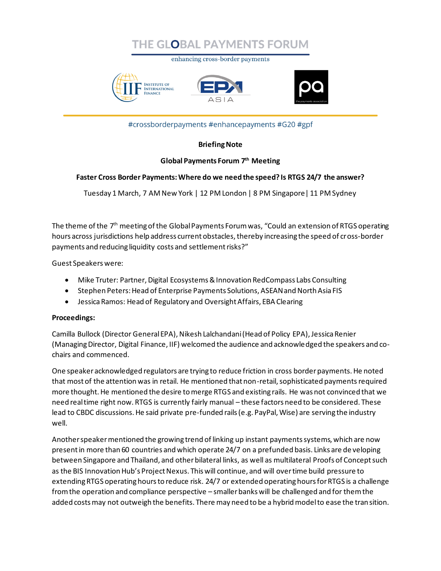

enhancing cross-border payments







#crossborderpayments #enhancepayments #G20 #gpf

## **Briefing Note**

## **Global Payments Forum 7 th Meeting**

#### **Faster Cross Border Payments: Where do we need the speed? Is RTGS 24/7 the answer?**

Tuesday 1 March, 7 AM New York | 12 PM London | 8 PM Singapore| 11 PM Sydney

The theme of the  $7<sup>th</sup>$  meeting of the Global Payments Forum was, "Could an extension of RTGS operating hours across jurisdictions help address current obstacles, thereby increasing the speed of cross-border payments and reducing liquidity costs and settlement risks?"

Guest Speakers were:

- Mike Truter: Partner, Digital Ecosystems & Innovation RedCompass Labs Consulting
- Stephen Peters: Head of Enterprise Payments Solutions, ASEAN and North Asia FIS
- Jessica Ramos: Head of Regulatory and Oversight Affairs, EBA Clearing

## **Proceedings:**

Camilla Bullock (Director General EPA), Nikesh Lalchandani (Head of Policy EPA), Jessica Renier (Managing Director, Digital Finance, IIF) welcomed the audience and acknowledged the speakers and cochairs and commenced.

One speaker acknowledged regulators are trying to reduce friction in cross border payments. He noted that most of the attention was in retail. He mentioned that non-retail, sophisticated payments required more thought. He mentioned the desire to merge RTGS and existing rails. He was not convinced that we need real time right now. RTGS is currently fairly manual – these factors need to be considered. These lead to CBDC discussions. He said private pre-funded rails (e.g. PayPal, Wise) are serving the industry well.

Another speaker mentioned the growing trend of linking up instant payments systems, which are now present in more than 60 countries and which operate 24/7 on a prefunded basis. Links are de veloping between Singapore and Thailand, and other bilateral links, as well as multilateral Proofs of Concept such as the BIS Innovation Hub's Project Nexus. This will continue, and will over time build pressure to extending RTGS operating hours to reduce risk. 24/7 or extended operating hours for RTGS is a challenge from the operation and compliance perspective – smaller banks will be challenged and for them the added costs may not outweigh the benefits. There may need to be a hybrid model to ease the transition.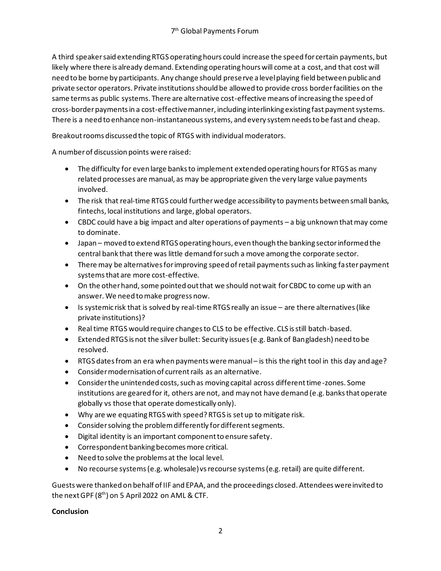A third speaker said extending RTGS operating hours could increase the speed for certain payments, but likely where there is already demand. Extending operating hours will come at a cost, and that cost will need to be borne by participants. Any change should preserve a level playing field between public and private sector operators. Private institutions should be allowed to provide cross border facilities on the same terms as public systems. There are alternative cost-effective means of increasing the speed of cross-border payments in a cost-effective manner, including interlinking existing fast payment systems. There is a need to enhance non-instantaneous systems, and every system needs to be fast and cheap.

Breakout rooms discussed the topic of RTGS with individual moderators.

A number of discussion points were raised:

- The difficulty for even large banks to implement extended operating hours for RTGS as many related processes are manual, as may be appropriate given the very large value payments involved.
- The risk that real-time RTGS could further wedge accessibility to payments between small banks, fintechs, local institutions and large, global operators.
- CBDC could have a big impact and alter operations of payments a big unknown that may come to dominate.
- Japan moved to extend RTGS operating hours, even though the banking sector informed the central bank that there was little demand for such a move among the corporate sector.
- There may be alternatives for improving speed of retail payments such as linking faster payment systems that are more cost-effective.
- On the other hand, some pointed out that we should not wait for CBDC to come up with an answer. We need to make progress now.
- Is systemic risk that is solved by real-time RTGS really an issue are there alternatives (like private institutions)?
- Real time RTGS would require changes to CLS to be effective. CLS is still batch-based.
- Extended RTGS is not the silver bullet: Security issues (e.g. Bank of Bangladesh) need to be resolved.
- RTGS dates from an era when payments were manual is this the right tool in this day and age?
- Consider modernisation of current rails as an alternative.
- Consider the unintended costs, such as moving capital across different time-zones. Some institutions are geared for it, others are not, and may not have demand (e.g. banks that operate globally vs those that operate domestically only).
- Why are we equating RTGS with speed? RTGS is set up to mitigate risk.
- Consider solving the problem differently for different segments.
- Digital identity is an important component to ensure safety.
- Correspondent banking becomes more critical.
- Need to solve the problems at the local level.
- No recourse systems (e.g. wholesale) vs recourse systems (e.g. retail) are quite different.

Guests were thanked on behalf of IIF and EPAA, and the proceedings closed. Attendees were invited to the next GPF (8<sup>th</sup>) on 5 April 2022 on AML & CTF.

# **Conclusion**